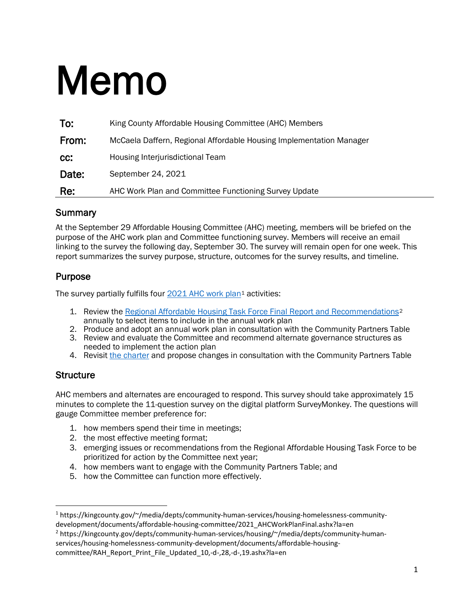# Memo

| To:   | King County Affordable Housing Committee (AHC) Members              |  |
|-------|---------------------------------------------------------------------|--|
| From: | McCaela Daffern, Regional Affordable Housing Implementation Manager |  |
| CC:   | Housing Interjurisdictional Team                                    |  |
| Date: | September 24, 2021                                                  |  |
| Re:   | AHC Work Plan and Committee Functioning Survey Update               |  |

#### **Summary**

At the September 29 Affordable Housing Committee (AHC) meeting, members will be briefed on the purpose of the AHC work plan and Committee functioning survey. Members will receive an email linking to the survey the following day, September 30. The survey will remain open for one week. This report summarizes the survey purpose, structure, outcomes for the survey results, and timeline.

## Purpose

The survey partially fulfills four [2021 AHC work plan](https://kingcounty.gov/%7E/media/depts/community-human-services/housing-homelessness-community-development/documents/affordable-housing-committee/2021_AHCWorkPlanFinal.ashx?la=en)<sup>[1](#page-0-0)</sup> activities:

- 1. Review the [Regional Affordable Housing Task Force Final Report and Recommendations](https://kingcounty.gov/depts/community-human-services/housing/%7E/media/depts/community-human-services/housing-homelessness-community-development/documents/affordable-housing-committee/RAH_Report_Print_File_Updated_10,-d-,28,-d-,19.ashx?la=en)<sup>[2](#page-0-1)</sup> annually to select items to include in the annual work plan
- 2. Produce and adopt an annual work plan in consultation with the Community Partners Table
- 3. Review and evaluate the Committee and recommend alternate governance structures as needed to implement the action plan
- 4. Revisit [the charter](https://kingcounty.gov/depts/community-human-services/housing/%7E/media/depts/community-human-services/housing-homelessness-community-development/documents/affordable-housing-committee/AHC_Charter_2021,-d-,04.ashx?la=en) and propose changes in consultation with the Community Partners Table

#### **Structure**

AHC members and alternates are encouraged to respond. This survey should take approximately 15 minutes to complete the 11-question survey on the digital platform SurveyMonkey. The questions will gauge Committee member preference for:

- 1. how members spend their time in meetings;
- 2. the most effective meeting format;
- 3. emerging issues or recommendations from the Regional Affordable Housing Task Force to be prioritized for action by the Committee next year;
- 4. how members want to engage with the Community Partners Table; and
- 5. how the Committee can function more effectively.

committee/RAH\_Report\_Print\_File\_Updated\_10,-d-,28,-d-,19.ashx?la=en

<span id="page-0-0"></span><sup>1</sup> https://kingcounty.gov/~/media/depts/community-human-services/housing-homelessness-communitydevelopment/documents/affordable-housing-committee/2021\_AHCWorkPlanFinal.ashx?la=en

<span id="page-0-1"></span><sup>2</sup> https://kingcounty.gov/depts/community-human-services/housing/~/media/depts/community-human-

services/housing-homelessness-community-development/documents/affordable-housing-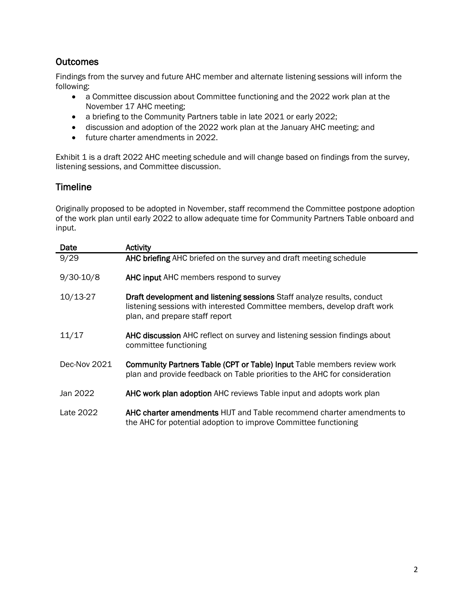## **Outcomes**

Findings from the survey and future AHC member and alternate listening sessions will inform the following:

- a Committee discussion about Committee functioning and the 2022 work plan at the November 17 AHC meeting;
- a briefing to the Community Partners table in late 2021 or early 2022;
- discussion and adoption of the 2022 work plan at the January AHC meeting; and
- future charter amendments in 2022.

Exhibit 1 is a draft 2022 AHC meeting schedule and will change based on findings from the survey, listening sessions, and Committee discussion.

#### Timeline

Originally proposed to be adopted in November, staff recommend the Committee postpone adoption of the work plan until early 2022 to allow adequate time for Community Partners Table onboard and input.

| Date          | Activity                                                                                                                                                                              |
|---------------|---------------------------------------------------------------------------------------------------------------------------------------------------------------------------------------|
| 9/29          | AHC briefing AHC briefed on the survey and draft meeting schedule                                                                                                                     |
| $9/30 - 10/8$ | AHC input AHC members respond to survey                                                                                                                                               |
| $10/13-27$    | Draft development and listening sessions Staff analyze results, conduct<br>listening sessions with interested Committee members, develop draft work<br>plan, and prepare staff report |
| 11/17         | AHC discussion AHC reflect on survey and listening session findings about<br>committee functioning                                                                                    |
| Dec-Nov 2021  | <b>Community Partners Table (CPT or Table) Input Table members review work</b><br>plan and provide feedback on Table priorities to the AHC for consideration                          |
| Jan 2022      | AHC work plan adoption AHC reviews Table input and adopts work plan                                                                                                                   |
| Late 2022     | <b>AHC charter amendments HIJT</b> and Table recommend charter amendments to<br>the AHC for potential adoption to improve Committee functioning                                       |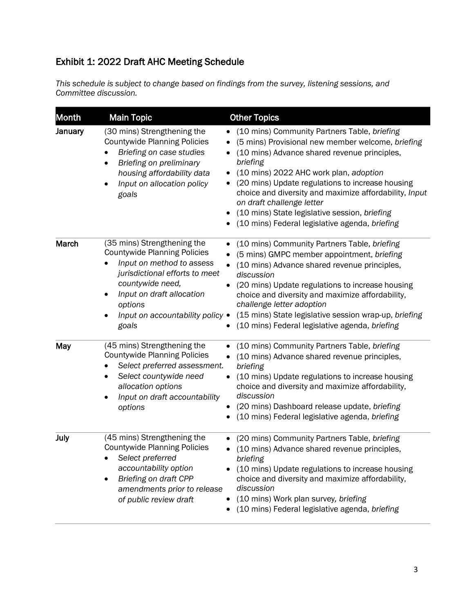# Exhibit 1: 2022 Draft AHC Meeting Schedule

*This schedule is subject to change based on findings from the survey, listening sessions, and Committee discussion.*

| <b>Month</b> | <b>Main Topic</b>                                                                                                                                                                                                                          | <b>Other Topics</b>                                                                                                                                                                                                                                                                                                                                                                                                                                                                  |
|--------------|--------------------------------------------------------------------------------------------------------------------------------------------------------------------------------------------------------------------------------------------|--------------------------------------------------------------------------------------------------------------------------------------------------------------------------------------------------------------------------------------------------------------------------------------------------------------------------------------------------------------------------------------------------------------------------------------------------------------------------------------|
| January      | (30 mins) Strengthening the<br><b>Countywide Planning Policies</b><br>Briefing on case studies<br>Briefing on preliminary<br>housing affordability data<br>Input on allocation policy<br>goals                                             | (10 mins) Community Partners Table, briefing<br>٠<br>(5 mins) Provisional new member welcome, briefing<br>(10 mins) Advance shared revenue principles,<br>briefing<br>(10 mins) 2022 AHC work plan, adoption<br>$\bullet$<br>(20 mins) Update regulations to increase housing<br>$\bullet$<br>choice and diversity and maximize affordability, Input<br>on draft challenge letter<br>(10 mins) State legislative session, briefing<br>(10 mins) Federal legislative agenda, briefing |
| March        | (35 mins) Strengthening the<br><b>Countywide Planning Policies</b><br>Input on method to assess<br>jurisdictional efforts to meet<br>countywide need,<br>Input on draft allocation<br>options<br>Input on accountability policy •<br>goals | (10 mins) Community Partners Table, briefing<br>$\bullet$<br>(5 mins) GMPC member appointment, briefing<br>$\bullet$<br>(10 mins) Advance shared revenue principles,<br>$\bullet$<br>discussion<br>(20 mins) Update regulations to increase housing<br>choice and diversity and maximize affordability,<br>challenge letter adoption<br>(15 mins) State legislative session wrap-up, briefing<br>(10 mins) Federal legislative agenda, briefing                                      |
| May          | (45 mins) Strengthening the<br><b>Countywide Planning Policies</b><br>Select preferred assessment.<br>$\bullet$<br>Select countywide need<br>٠<br>allocation options<br>Input on draft accountability<br>٠<br>options                      | (10 mins) Community Partners Table, briefing<br>$\bullet$<br>(10 mins) Advance shared revenue principles,<br>$\bullet$<br>briefing<br>(10 mins) Update regulations to increase housing<br>choice and diversity and maximize affordability,<br>discussion<br>(20 mins) Dashboard release update, briefing<br>(10 mins) Federal legislative agenda, briefing                                                                                                                           |
| July         | (45 mins) Strengthening the<br><b>Countywide Planning Policies</b><br>Select preferred<br>accountability option<br>Briefing on draft CPP<br>amendments prior to release<br>of public review draft                                          | (20 mins) Community Partners Table, briefing<br>(10 mins) Advance shared revenue principles,<br>٠<br>briefing<br>(10 mins) Update regulations to increase housing<br>choice and diversity and maximize affordability,<br>discussion<br>(10 mins) Work plan survey, briefing<br>(10 mins) Federal legislative agenda, briefing                                                                                                                                                        |